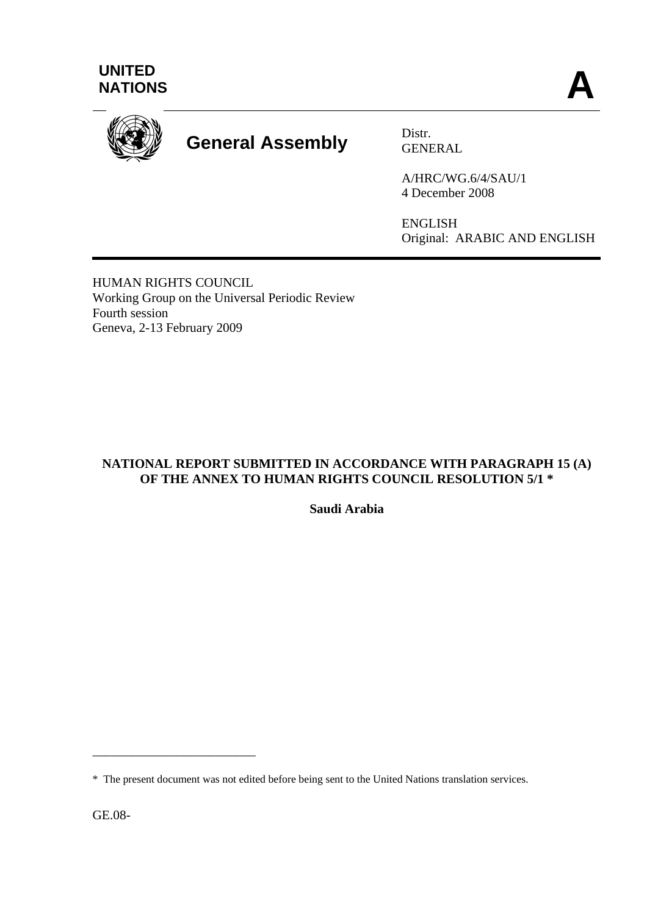



GENERAL

A/HRC/WG.6/4/SAU/1 4 December 2008

ENGLISH Original: ARABIC AND ENGLISH

HUMAN RIGHTS COUNCIL Working Group on the Universal Periodic Review Fourth session Geneva, 2-13 February 2009

# **NATIONAL REPORT SUBMITTED IN ACCORDANCE WITH PARAGRAPH 15 (A) OF THE ANNEX TO HUMAN RIGHTS COUNCIL RESOLUTION 5/1 \***

**Saudi Arabia** 

\_\_\_\_\_\_\_\_\_\_\_\_\_\_\_\_\_\_\_\_\_\_\_\_\_

<sup>\*</sup> The present document was not edited before being sent to the United Nations translation services.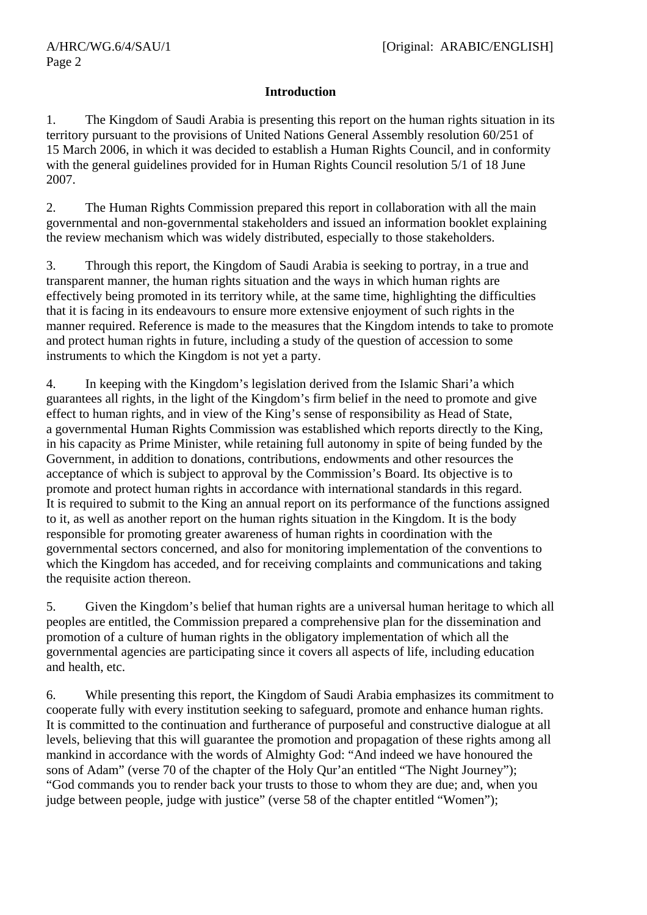### **Introduction**

1. The Kingdom of Saudi Arabia is presenting this report on the human rights situation in its territory pursuant to the provisions of United Nations General Assembly resolution 60/251 of 15 March 2006, in which it was decided to establish a Human Rights Council, and in conformity with the general guidelines provided for in Human Rights Council resolution 5/1 of 18 June 2007.

2. The Human Rights Commission prepared this report in collaboration with all the main governmental and non-governmental stakeholders and issued an information booklet explaining the review mechanism which was widely distributed, especially to those stakeholders.

3. Through this report, the Kingdom of Saudi Arabia is seeking to portray, in a true and transparent manner, the human rights situation and the ways in which human rights are effectively being promoted in its territory while, at the same time, highlighting the difficulties that it is facing in its endeavours to ensure more extensive enjoyment of such rights in the manner required. Reference is made to the measures that the Kingdom intends to take to promote and protect human rights in future, including a study of the question of accession to some instruments to which the Kingdom is not yet a party.

4. In keeping with the Kingdom's legislation derived from the Islamic Shari'a which guarantees all rights, in the light of the Kingdom's firm belief in the need to promote and give effect to human rights, and in view of the King's sense of responsibility as Head of State, a governmental Human Rights Commission was established which reports directly to the King, in his capacity as Prime Minister, while retaining full autonomy in spite of being funded by the Government, in addition to donations, contributions, endowments and other resources the acceptance of which is subject to approval by the Commission's Board. Its objective is to promote and protect human rights in accordance with international standards in this regard. It is required to submit to the King an annual report on its performance of the functions assigned to it, as well as another report on the human rights situation in the Kingdom. It is the body responsible for promoting greater awareness of human rights in coordination with the governmental sectors concerned, and also for monitoring implementation of the conventions to which the Kingdom has acceded, and for receiving complaints and communications and taking the requisite action thereon.

5. Given the Kingdom's belief that human rights are a universal human heritage to which all peoples are entitled, the Commission prepared a comprehensive plan for the dissemination and promotion of a culture of human rights in the obligatory implementation of which all the governmental agencies are participating since it covers all aspects of life, including education and health, etc.

6. While presenting this report, the Kingdom of Saudi Arabia emphasizes its commitment to cooperate fully with every institution seeking to safeguard, promote and enhance human rights. It is committed to the continuation and furtherance of purposeful and constructive dialogue at all levels, believing that this will guarantee the promotion and propagation of these rights among all mankind in accordance with the words of Almighty God: "And indeed we have honoured the sons of Adam" (verse 70 of the chapter of the Holy Qur'an entitled "The Night Journey"); "God commands you to render back your trusts to those to whom they are due; and, when you judge between people, judge with justice" (verse 58 of the chapter entitled "Women");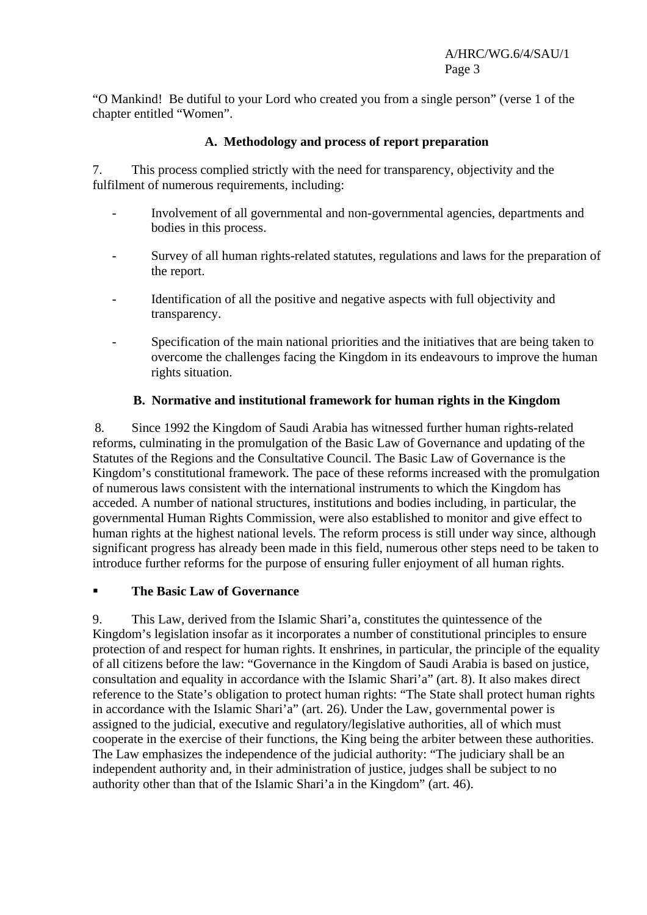"O Mankind! Be dutiful to your Lord who created you from a single person" (verse 1 of the chapter entitled "Women".

### **A. Methodology and process of report preparation**

7. This process complied strictly with the need for transparency, objectivity and the fulfilment of numerous requirements, including:

- Involvement of all governmental and non-governmental agencies, departments and bodies in this process.
- Survey of all human rights-related statutes, regulations and laws for the preparation of the report.
- Identification of all the positive and negative aspects with full objectivity and transparency.
- Specification of the main national priorities and the initiatives that are being taken to overcome the challenges facing the Kingdom in its endeavours to improve the human rights situation.

# **B. Normative and institutional framework for human rights in the Kingdom**

8. Since 1992 the Kingdom of Saudi Arabia has witnessed further human rights-related reforms, culminating in the promulgation of the Basic Law of Governance and updating of the Statutes of the Regions and the Consultative Council. The Basic Law of Governance is the Kingdom's constitutional framework. The pace of these reforms increased with the promulgation of numerous laws consistent with the international instruments to which the Kingdom has acceded. A number of national structures, institutions and bodies including, in particular, the governmental Human Rights Commission, were also established to monitor and give effect to human rights at the highest national levels. The reform process is still under way since, although significant progress has already been made in this field, numerous other steps need to be taken to introduce further reforms for the purpose of ensuring fuller enjoyment of all human rights.

### **The Basic Law of Governance**

9. This Law, derived from the Islamic Shari'a, constitutes the quintessence of the Kingdom's legislation insofar as it incorporates a number of constitutional principles to ensure protection of and respect for human rights. It enshrines, in particular, the principle of the equality of all citizens before the law: "Governance in the Kingdom of Saudi Arabia is based on justice, consultation and equality in accordance with the Islamic Shari'a" (art. 8). It also makes direct reference to the State's obligation to protect human rights: "The State shall protect human rights in accordance with the Islamic Shari'a" (art. 26). Under the Law, governmental power is assigned to the judicial, executive and regulatory/legislative authorities, all of which must cooperate in the exercise of their functions, the King being the arbiter between these authorities. The Law emphasizes the independence of the judicial authority: "The judiciary shall be an independent authority and, in their administration of justice, judges shall be subject to no authority other than that of the Islamic Shari'a in the Kingdom" (art. 46).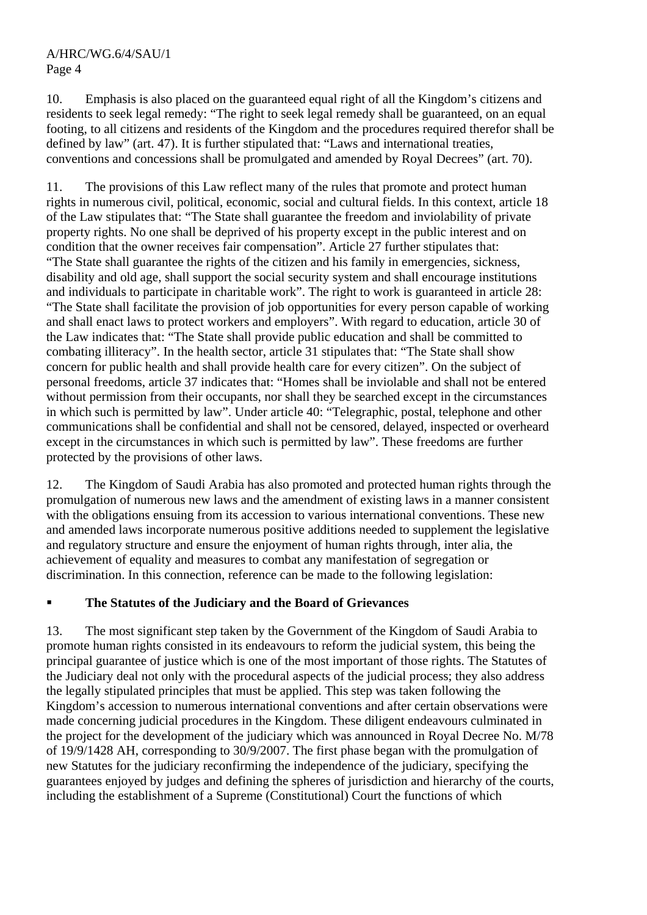10. Emphasis is also placed on the guaranteed equal right of all the Kingdom's citizens and residents to seek legal remedy: "The right to seek legal remedy shall be guaranteed, on an equal footing, to all citizens and residents of the Kingdom and the procedures required therefor shall be defined by law" (art. 47). It is further stipulated that: "Laws and international treaties, conventions and concessions shall be promulgated and amended by Royal Decrees" (art. 70).

11. The provisions of this Law reflect many of the rules that promote and protect human rights in numerous civil, political, economic, social and cultural fields. In this context, article 18 of the Law stipulates that: "The State shall guarantee the freedom and inviolability of private property rights. No one shall be deprived of his property except in the public interest and on condition that the owner receives fair compensation". Article 27 further stipulates that: "The State shall guarantee the rights of the citizen and his family in emergencies, sickness, disability and old age, shall support the social security system and shall encourage institutions and individuals to participate in charitable work". The right to work is guaranteed in article 28: "The State shall facilitate the provision of job opportunities for every person capable of working and shall enact laws to protect workers and employers". With regard to education, article 30 of the Law indicates that: "The State shall provide public education and shall be committed to combating illiteracy". In the health sector, article 31 stipulates that: "The State shall show concern for public health and shall provide health care for every citizen". On the subject of personal freedoms, article 37 indicates that: "Homes shall be inviolable and shall not be entered without permission from their occupants, nor shall they be searched except in the circumstances in which such is permitted by law". Under article 40: "Telegraphic, postal, telephone and other communications shall be confidential and shall not be censored, delayed, inspected or overheard except in the circumstances in which such is permitted by law". These freedoms are further protected by the provisions of other laws.

12. The Kingdom of Saudi Arabia has also promoted and protected human rights through the promulgation of numerous new laws and the amendment of existing laws in a manner consistent with the obligations ensuing from its accession to various international conventions. These new and amended laws incorporate numerous positive additions needed to supplement the legislative and regulatory structure and ensure the enjoyment of human rights through, inter alia, the achievement of equality and measures to combat any manifestation of segregation or discrimination. In this connection, reference can be made to the following legislation:

# **The Statutes of the Judiciary and the Board of Grievances**

13. The most significant step taken by the Government of the Kingdom of Saudi Arabia to promote human rights consisted in its endeavours to reform the judicial system, this being the principal guarantee of justice which is one of the most important of those rights. The Statutes of the Judiciary deal not only with the procedural aspects of the judicial process; they also address the legally stipulated principles that must be applied. This step was taken following the Kingdom's accession to numerous international conventions and after certain observations were made concerning judicial procedures in the Kingdom. These diligent endeavours culminated in the project for the development of the judiciary which was announced in Royal Decree No. M/78 of 19/9/1428 AH, corresponding to 30/9/2007. The first phase began with the promulgation of new Statutes for the judiciary reconfirming the independence of the judiciary, specifying the guarantees enjoyed by judges and defining the spheres of jurisdiction and hierarchy of the courts, including the establishment of a Supreme (Constitutional) Court the functions of which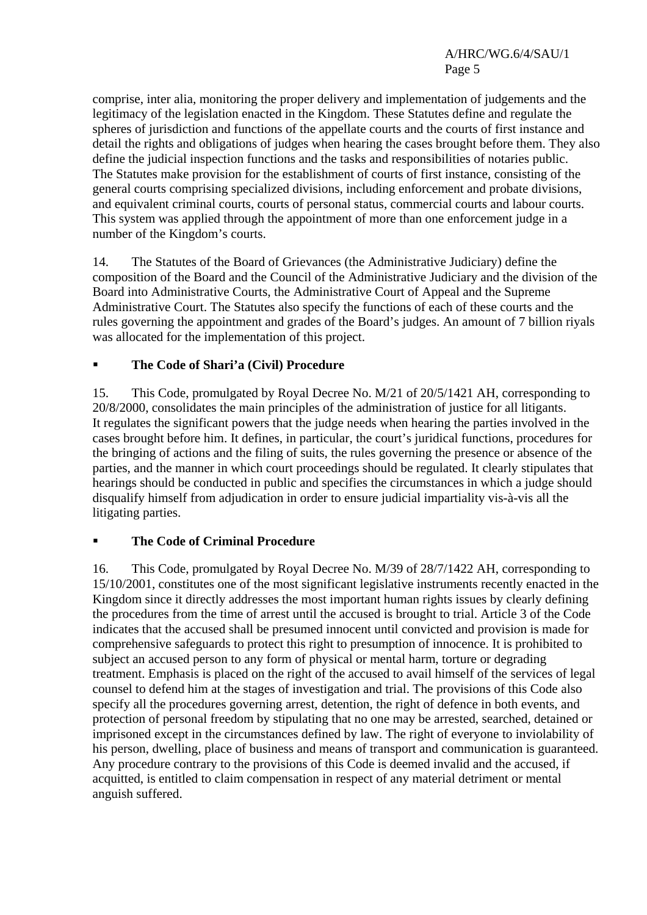comprise, inter alia, monitoring the proper delivery and implementation of judgements and the legitimacy of the legislation enacted in the Kingdom. These Statutes define and regulate the spheres of jurisdiction and functions of the appellate courts and the courts of first instance and detail the rights and obligations of judges when hearing the cases brought before them. They also define the judicial inspection functions and the tasks and responsibilities of notaries public. The Statutes make provision for the establishment of courts of first instance, consisting of the general courts comprising specialized divisions, including enforcement and probate divisions, and equivalent criminal courts, courts of personal status, commercial courts and labour courts. This system was applied through the appointment of more than one enforcement judge in a number of the Kingdom's courts.

14. The Statutes of the Board of Grievances (the Administrative Judiciary) define the composition of the Board and the Council of the Administrative Judiciary and the division of the Board into Administrative Courts, the Administrative Court of Appeal and the Supreme Administrative Court. The Statutes also specify the functions of each of these courts and the rules governing the appointment and grades of the Board's judges. An amount of 7 billion riyals was allocated for the implementation of this project.

# **The Code of Shari'a (Civil) Procedure**

15. This Code, promulgated by Royal Decree No. M/21 of 20/5/1421 AH, corresponding to 20/8/2000, consolidates the main principles of the administration of justice for all litigants. It regulates the significant powers that the judge needs when hearing the parties involved in the cases brought before him. It defines, in particular, the court's juridical functions, procedures for the bringing of actions and the filing of suits, the rules governing the presence or absence of the parties, and the manner in which court proceedings should be regulated. It clearly stipulates that hearings should be conducted in public and specifies the circumstances in which a judge should disqualify himself from adjudication in order to ensure judicial impartiality vis-à-vis all the litigating parties.

### **The Code of Criminal Procedure**

16. This Code, promulgated by Royal Decree No. M/39 of 28/7/1422 AH, corresponding to 15/10/2001, constitutes one of the most significant legislative instruments recently enacted in the Kingdom since it directly addresses the most important human rights issues by clearly defining the procedures from the time of arrest until the accused is brought to trial. Article 3 of the Code indicates that the accused shall be presumed innocent until convicted and provision is made for comprehensive safeguards to protect this right to presumption of innocence. It is prohibited to subject an accused person to any form of physical or mental harm, torture or degrading treatment. Emphasis is placed on the right of the accused to avail himself of the services of legal counsel to defend him at the stages of investigation and trial. The provisions of this Code also specify all the procedures governing arrest, detention, the right of defence in both events, and protection of personal freedom by stipulating that no one may be arrested, searched, detained or imprisoned except in the circumstances defined by law. The right of everyone to inviolability of his person, dwelling, place of business and means of transport and communication is guaranteed. Any procedure contrary to the provisions of this Code is deemed invalid and the accused, if acquitted, is entitled to claim compensation in respect of any material detriment or mental anguish suffered.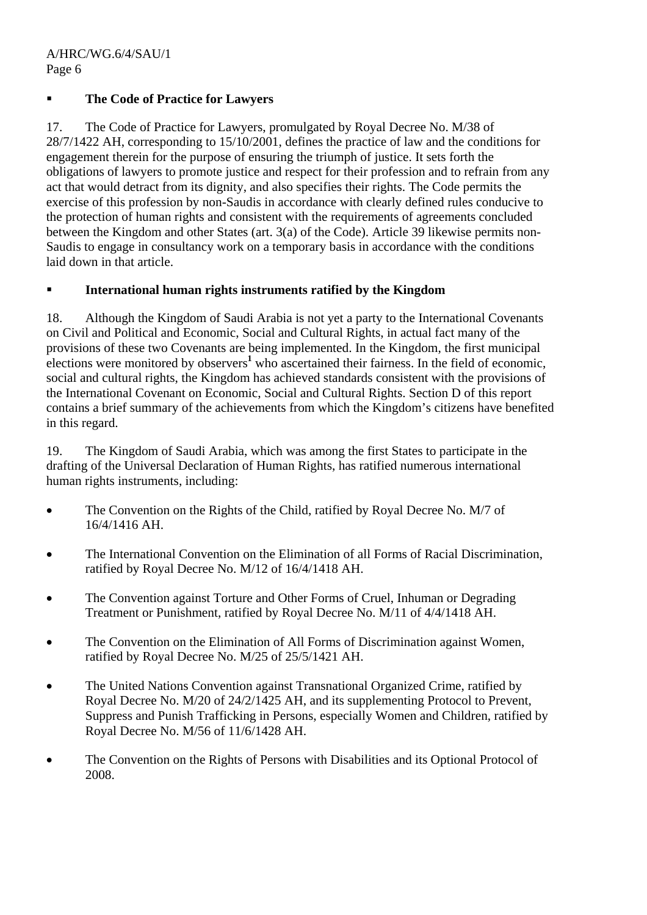# **The Code of Practice for Lawyers**

17. The Code of Practice for Lawyers, promulgated by Royal Decree No. M/38 of 28/7/1422 AH, corresponding to 15/10/2001, defines the practice of law and the conditions for engagement therein for the purpose of ensuring the triumph of justice. It sets forth the obligations of lawyers to promote justice and respect for their profession and to refrain from any act that would detract from its dignity, and also specifies their rights. The Code permits the exercise of this profession by non-Saudis in accordance with clearly defined rules conducive to the protection of human rights and consistent with the requirements of agreements concluded between the Kingdom and other States (art. 3(a) of the Code). Article 39 likewise permits non-Saudis to engage in consultancy work on a temporary basis in accordance with the conditions laid down in that article.

# **International human rights instruments ratified by the Kingdom**

18. Although the Kingdom of Saudi Arabia is not yet a party to the International Covenants on Civil and Political and Economic, Social and Cultural Rights, in actual fact many of the provisions of these two Covenants are being implemented. In the Kingdom, the first municipal elections were monitored by observers<sup>1</sup> who ascertained their fairness. In the field of economic, social and cultural rights, the Kingdom has achieved standards consistent with the provisions of the International Covenant on Economic, Social and Cultural Rights. Section D of this report contains a brief summary of the achievements from which the Kingdom's citizens have benefited in this regard.

19. The Kingdom of Saudi Arabia, which was among the first States to participate in the drafting of the Universal Declaration of Human Rights, has ratified numerous international human rights instruments, including:

- The Convention on the Rights of the Child, ratified by Royal Decree No. M/7 of 16/4/1416 AH.
- The International Convention on the Elimination of all Forms of Racial Discrimination, ratified by Royal Decree No. M/12 of 16/4/1418 AH.
- The Convention against Torture and Other Forms of Cruel, Inhuman or Degrading Treatment or Punishment, ratified by Royal Decree No. M/11 of 4/4/1418 AH.
- The Convention on the Elimination of All Forms of Discrimination against Women, ratified by Royal Decree No. M/25 of 25/5/1421 AH.
- The United Nations Convention against Transnational Organized Crime, ratified by Royal Decree No. M/20 of 24/2/1425 AH, and its supplementing Protocol to Prevent, Suppress and Punish Trafficking in Persons, especially Women and Children, ratified by Royal Decree No. M/56 of 11/6/1428 AH.
- The Convention on the Rights of Persons with Disabilities and its Optional Protocol of 2008.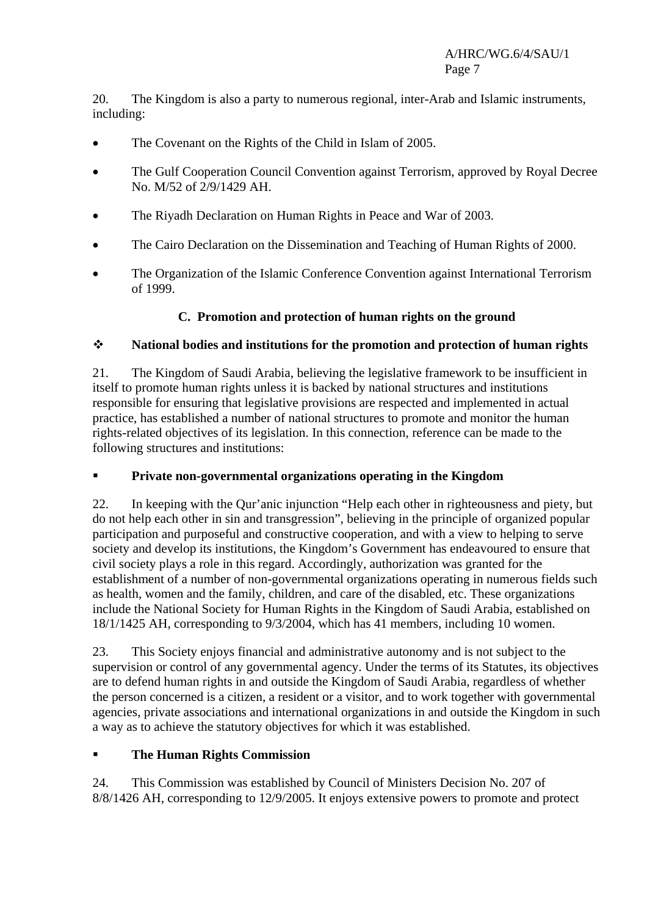20. The Kingdom is also a party to numerous regional, inter-Arab and Islamic instruments, including:

- The Covenant on the Rights of the Child in Islam of 2005.
- The Gulf Cooperation Council Convention against Terrorism, approved by Royal Decree No. M/52 of 2/9/1429 AH.
- The Riyadh Declaration on Human Rights in Peace and War of 2003.
- The Cairo Declaration on the Dissemination and Teaching of Human Rights of 2000.
- The Organization of the Islamic Conference Convention against International Terrorism of 1999.

# **C. Promotion and protection of human rights on the ground**

# **National bodies and institutions for the promotion and protection of human rights**

21. The Kingdom of Saudi Arabia, believing the legislative framework to be insufficient in itself to promote human rights unless it is backed by national structures and institutions responsible for ensuring that legislative provisions are respected and implemented in actual practice, has established a number of national structures to promote and monitor the human rights-related objectives of its legislation. In this connection, reference can be made to the following structures and institutions:

### **Private non-governmental organizations operating in the Kingdom**

22. In keeping with the Qur'anic injunction "Help each other in righteousness and piety, but do not help each other in sin and transgression", believing in the principle of organized popular participation and purposeful and constructive cooperation, and with a view to helping to serve society and develop its institutions, the Kingdom's Government has endeavoured to ensure that civil society plays a role in this regard. Accordingly, authorization was granted for the establishment of a number of non-governmental organizations operating in numerous fields such as health, women and the family, children, and care of the disabled, etc. These organizations include the National Society for Human Rights in the Kingdom of Saudi Arabia, established on 18/1/1425 AH, corresponding to 9/3/2004, which has 41 members, including 10 women.

23. This Society enjoys financial and administrative autonomy and is not subject to the supervision or control of any governmental agency. Under the terms of its Statutes, its objectives are to defend human rights in and outside the Kingdom of Saudi Arabia, regardless of whether the person concerned is a citizen, a resident or a visitor, and to work together with governmental agencies, private associations and international organizations in and outside the Kingdom in such a way as to achieve the statutory objectives for which it was established.

# **The Human Rights Commission**

24. This Commission was established by Council of Ministers Decision No. 207 of 8/8/1426 AH, corresponding to 12/9/2005. It enjoys extensive powers to promote and protect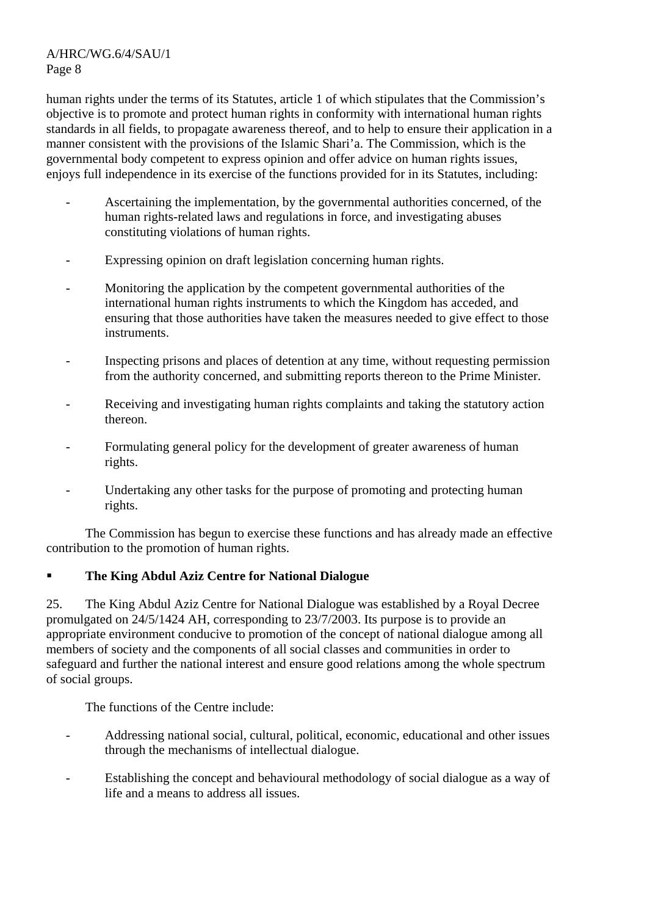human rights under the terms of its Statutes, article 1 of which stipulates that the Commission's objective is to promote and protect human rights in conformity with international human rights standards in all fields, to propagate awareness thereof, and to help to ensure their application in a manner consistent with the provisions of the Islamic Shari'a. The Commission, which is the governmental body competent to express opinion and offer advice on human rights issues, enjoys full independence in its exercise of the functions provided for in its Statutes, including:

- Ascertaining the implementation, by the governmental authorities concerned, of the human rights-related laws and regulations in force, and investigating abuses constituting violations of human rights.
- Expressing opinion on draft legislation concerning human rights.
- Monitoring the application by the competent governmental authorities of the international human rights instruments to which the Kingdom has acceded, and ensuring that those authorities have taken the measures needed to give effect to those instruments.
- Inspecting prisons and places of detention at any time, without requesting permission from the authority concerned, and submitting reports thereon to the Prime Minister.
- Receiving and investigating human rights complaints and taking the statutory action thereon.
- Formulating general policy for the development of greater awareness of human rights.
- Undertaking any other tasks for the purpose of promoting and protecting human rights.

The Commission has begun to exercise these functions and has already made an effective contribution to the promotion of human rights.

# **The King Abdul Aziz Centre for National Dialogue**

25. The King Abdul Aziz Centre for National Dialogue was established by a Royal Decree promulgated on 24/5/1424 AH, corresponding to 23/7/2003. Its purpose is to provide an appropriate environment conducive to promotion of the concept of national dialogue among all members of society and the components of all social classes and communities in order to safeguard and further the national interest and ensure good relations among the whole spectrum of social groups.

The functions of the Centre include:

- Addressing national social, cultural, political, economic, educational and other issues through the mechanisms of intellectual dialogue.
- Establishing the concept and behavioural methodology of social dialogue as a way of life and a means to address all issues.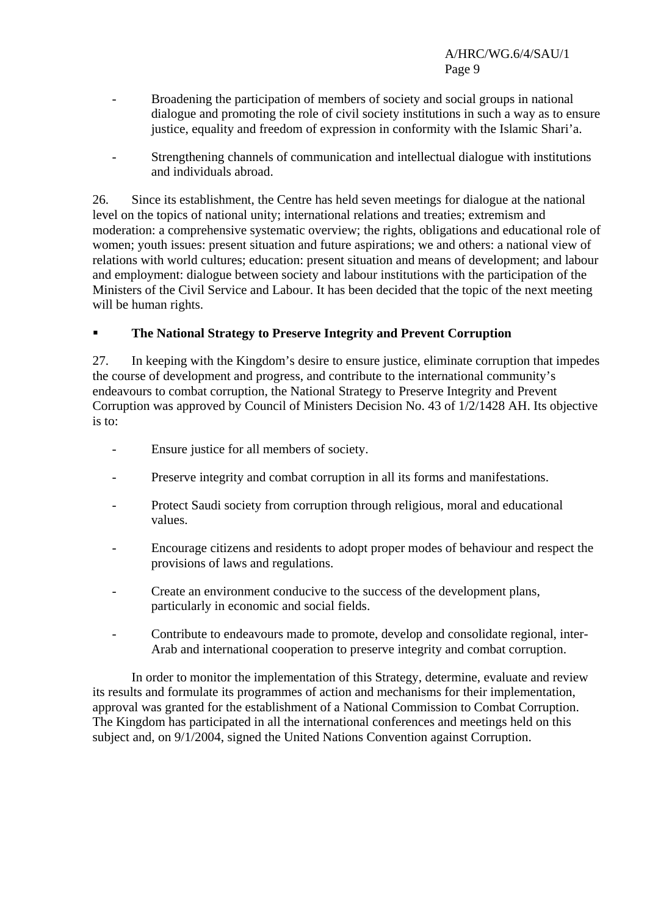- Broadening the participation of members of society and social groups in national dialogue and promoting the role of civil society institutions in such a way as to ensure justice, equality and freedom of expression in conformity with the Islamic Shari'a.
- Strengthening channels of communication and intellectual dialogue with institutions and individuals abroad.

26. Since its establishment, the Centre has held seven meetings for dialogue at the national level on the topics of national unity; international relations and treaties; extremism and moderation: a comprehensive systematic overview; the rights, obligations and educational role of women; youth issues: present situation and future aspirations; we and others: a national view of relations with world cultures; education: present situation and means of development; and labour and employment: dialogue between society and labour institutions with the participation of the Ministers of the Civil Service and Labour. It has been decided that the topic of the next meeting will be human rights.

### **The National Strategy to Preserve Integrity and Prevent Corruption**

27. In keeping with the Kingdom's desire to ensure justice, eliminate corruption that impedes the course of development and progress, and contribute to the international community's endeavours to combat corruption, the National Strategy to Preserve Integrity and Prevent Corruption was approved by Council of Ministers Decision No. 43 of 1/2/1428 AH. Its objective is to:

- Ensure justice for all members of society.
- Preserve integrity and combat corruption in all its forms and manifestations.
- Protect Saudi society from corruption through religious, moral and educational values.
- Encourage citizens and residents to adopt proper modes of behaviour and respect the provisions of laws and regulations.
- Create an environment conducive to the success of the development plans, particularly in economic and social fields.
- Contribute to endeavours made to promote, develop and consolidate regional, inter-Arab and international cooperation to preserve integrity and combat corruption.

In order to monitor the implementation of this Strategy, determine, evaluate and review its results and formulate its programmes of action and mechanisms for their implementation, approval was granted for the establishment of a National Commission to Combat Corruption. The Kingdom has participated in all the international conferences and meetings held on this subject and, on 9/1/2004, signed the United Nations Convention against Corruption.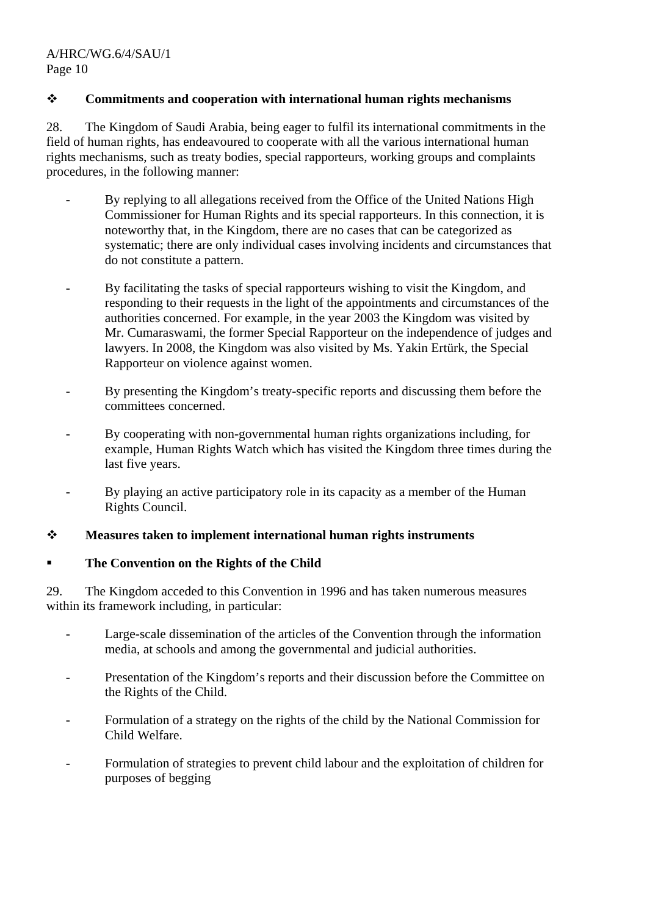### **Commitments and cooperation with international human rights mechanisms**

28. The Kingdom of Saudi Arabia, being eager to fulfil its international commitments in the field of human rights, has endeavoured to cooperate with all the various international human rights mechanisms, such as treaty bodies, special rapporteurs, working groups and complaints procedures, in the following manner:

- By replying to all allegations received from the Office of the United Nations High Commissioner for Human Rights and its special rapporteurs. In this connection, it is noteworthy that, in the Kingdom, there are no cases that can be categorized as systematic; there are only individual cases involving incidents and circumstances that do not constitute a pattern.
- By facilitating the tasks of special rapporteurs wishing to visit the Kingdom, and responding to their requests in the light of the appointments and circumstances of the authorities concerned. For example, in the year 2003 the Kingdom was visited by Mr. Cumaraswami, the former Special Rapporteur on the independence of judges and lawyers. In 2008, the Kingdom was also visited by Ms. Yakin Ertürk, the Special Rapporteur on violence against women.
- By presenting the Kingdom's treaty-specific reports and discussing them before the committees concerned.
- By cooperating with non-governmental human rights organizations including, for example, Human Rights Watch which has visited the Kingdom three times during the last five years.
- By playing an active participatory role in its capacity as a member of the Human Rights Council.

### **Measures taken to implement international human rights instruments**

### **The Convention on the Rights of the Child**

29. The Kingdom acceded to this Convention in 1996 and has taken numerous measures within its framework including, in particular:

- Large-scale dissemination of the articles of the Convention through the information media, at schools and among the governmental and judicial authorities.
- Presentation of the Kingdom's reports and their discussion before the Committee on the Rights of the Child.
- Formulation of a strategy on the rights of the child by the National Commission for Child Welfare.
- Formulation of strategies to prevent child labour and the exploitation of children for purposes of begging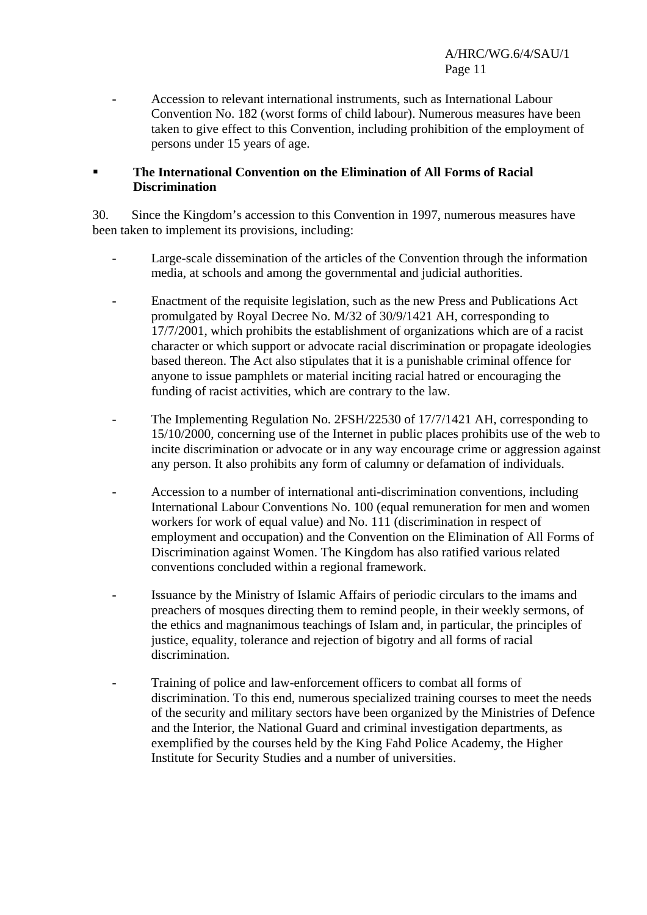- Accession to relevant international instruments, such as International Labour Convention No. 182 (worst forms of child labour). Numerous measures have been taken to give effect to this Convention, including prohibition of the employment of persons under 15 years of age.

#### **The International Convention on the Elimination of All Forms of Racial Discrimination**

30. Since the Kingdom's accession to this Convention in 1997, numerous measures have been taken to implement its provisions, including:

- Large-scale dissemination of the articles of the Convention through the information media, at schools and among the governmental and judicial authorities.
- Enactment of the requisite legislation, such as the new Press and Publications Act promulgated by Royal Decree No. M/32 of 30/9/1421 AH, corresponding to 17/7/2001, which prohibits the establishment of organizations which are of a racist character or which support or advocate racial discrimination or propagate ideologies based thereon. The Act also stipulates that it is a punishable criminal offence for anyone to issue pamphlets or material inciting racial hatred or encouraging the funding of racist activities, which are contrary to the law.
- The Implementing Regulation No. 2FSH/22530 of 17/7/1421 AH, corresponding to 15/10/2000, concerning use of the Internet in public places prohibits use of the web to incite discrimination or advocate or in any way encourage crime or aggression against any person. It also prohibits any form of calumny or defamation of individuals.
- Accession to a number of international anti-discrimination conventions, including International Labour Conventions No. 100 (equal remuneration for men and women workers for work of equal value) and No. 111 (discrimination in respect of employment and occupation) and the Convention on the Elimination of All Forms of Discrimination against Women. The Kingdom has also ratified various related conventions concluded within a regional framework.
- Issuance by the Ministry of Islamic Affairs of periodic circulars to the imams and preachers of mosques directing them to remind people, in their weekly sermons, of the ethics and magnanimous teachings of Islam and, in particular, the principles of justice, equality, tolerance and rejection of bigotry and all forms of racial discrimination.
- Training of police and law-enforcement officers to combat all forms of discrimination. To this end, numerous specialized training courses to meet the needs of the security and military sectors have been organized by the Ministries of Defence and the Interior, the National Guard and criminal investigation departments, as exemplified by the courses held by the King Fahd Police Academy, the Higher Institute for Security Studies and a number of universities.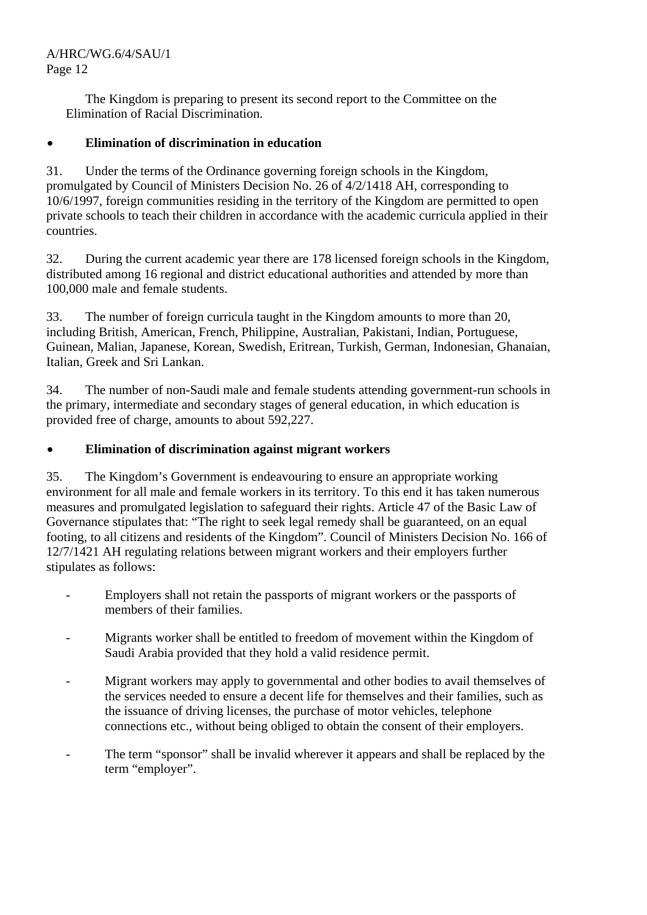> The Kingdom is preparing to present its second report to the Committee on the Elimination of Racial Discrimination.

# • **Elimination of discrimination in education**

31. Under the terms of the Ordinance governing foreign schools in the Kingdom, promulgated by Council of Ministers Decision No. 26 of 4/2/1418 AH, corresponding to 10/6/1997, foreign communities residing in the territory of the Kingdom are permitted to open private schools to teach their children in accordance with the academic curricula applied in their countries.

32. During the current academic year there are 178 licensed foreign schools in the Kingdom, distributed among 16 regional and district educational authorities and attended by more than 100,000 male and female students.

33. The number of foreign curricula taught in the Kingdom amounts to more than 20, including British, American, French, Philippine, Australian, Pakistani, Indian, Portuguese, Guinean, Malian, Japanese, Korean, Swedish, Eritrean, Turkish, German, Indonesian, Ghanaian, Italian, Greek and Sri Lankan.

34. The number of non-Saudi male and female students attending government-run schools in the primary, intermediate and secondary stages of general education, in which education is provided free of charge, amounts to about 592,227.

### • **Elimination of discrimination against migrant workers**

35. The Kingdom's Government is endeavouring to ensure an appropriate working environment for all male and female workers in its territory. To this end it has taken numerous measures and promulgated legislation to safeguard their rights. Article 47 of the Basic Law of Governance stipulates that: "The right to seek legal remedy shall be guaranteed, on an equal footing, to all citizens and residents of the Kingdom". Council of Ministers Decision No. 166 of 12/7/1421 AH regulating relations between migrant workers and their employers further stipulates as follows:

- Employers shall not retain the passports of migrant workers or the passports of members of their families.
- Migrants worker shall be entitled to freedom of movement within the Kingdom of Saudi Arabia provided that they hold a valid residence permit.
- Migrant workers may apply to governmental and other bodies to avail themselves of the services needed to ensure a decent life for themselves and their families, such as the issuance of driving licenses, the purchase of motor vehicles, telephone connections etc., without being obliged to obtain the consent of their employers.
- The term "sponsor" shall be invalid wherever it appears and shall be replaced by the term "employer".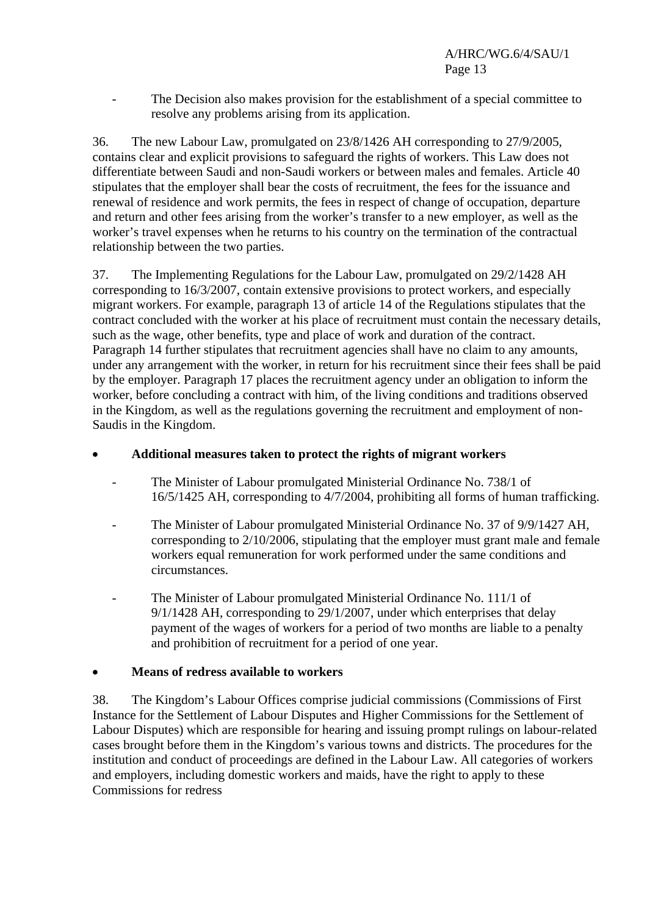- The Decision also makes provision for the establishment of a special committee to resolve any problems arising from its application.

36. The new Labour Law, promulgated on 23/8/1426 AH corresponding to 27/9/2005, contains clear and explicit provisions to safeguard the rights of workers. This Law does not differentiate between Saudi and non-Saudi workers or between males and females. Article 40 stipulates that the employer shall bear the costs of recruitment, the fees for the issuance and renewal of residence and work permits, the fees in respect of change of occupation, departure and return and other fees arising from the worker's transfer to a new employer, as well as the worker's travel expenses when he returns to his country on the termination of the contractual relationship between the two parties.

37. The Implementing Regulations for the Labour Law, promulgated on 29/2/1428 AH corresponding to 16/3/2007, contain extensive provisions to protect workers, and especially migrant workers. For example, paragraph 13 of article 14 of the Regulations stipulates that the contract concluded with the worker at his place of recruitment must contain the necessary details, such as the wage, other benefits, type and place of work and duration of the contract. Paragraph 14 further stipulates that recruitment agencies shall have no claim to any amounts, under any arrangement with the worker, in return for his recruitment since their fees shall be paid by the employer. Paragraph 17 places the recruitment agency under an obligation to inform the worker, before concluding a contract with him, of the living conditions and traditions observed in the Kingdom, as well as the regulations governing the recruitment and employment of non-Saudis in the Kingdom.

#### • **Additional measures taken to protect the rights of migrant workers**

- The Minister of Labour promulgated Ministerial Ordinance No. 738/1 of 16/5/1425 AH, corresponding to 4/7/2004, prohibiting all forms of human trafficking.
- The Minister of Labour promulgated Ministerial Ordinance No. 37 of 9/9/1427 AH, corresponding to 2/10/2006, stipulating that the employer must grant male and female workers equal remuneration for work performed under the same conditions and circumstances.
- The Minister of Labour promulgated Ministerial Ordinance No. 111/1 of 9/1/1428 AH, corresponding to 29/1/2007, under which enterprises that delay payment of the wages of workers for a period of two months are liable to a penalty and prohibition of recruitment for a period of one year.

### • **Means of redress available to workers**

38. The Kingdom's Labour Offices comprise judicial commissions (Commissions of First Instance for the Settlement of Labour Disputes and Higher Commissions for the Settlement of Labour Disputes) which are responsible for hearing and issuing prompt rulings on labour-related cases brought before them in the Kingdom's various towns and districts. The procedures for the institution and conduct of proceedings are defined in the Labour Law. All categories of workers and employers, including domestic workers and maids, have the right to apply to these Commissions for redress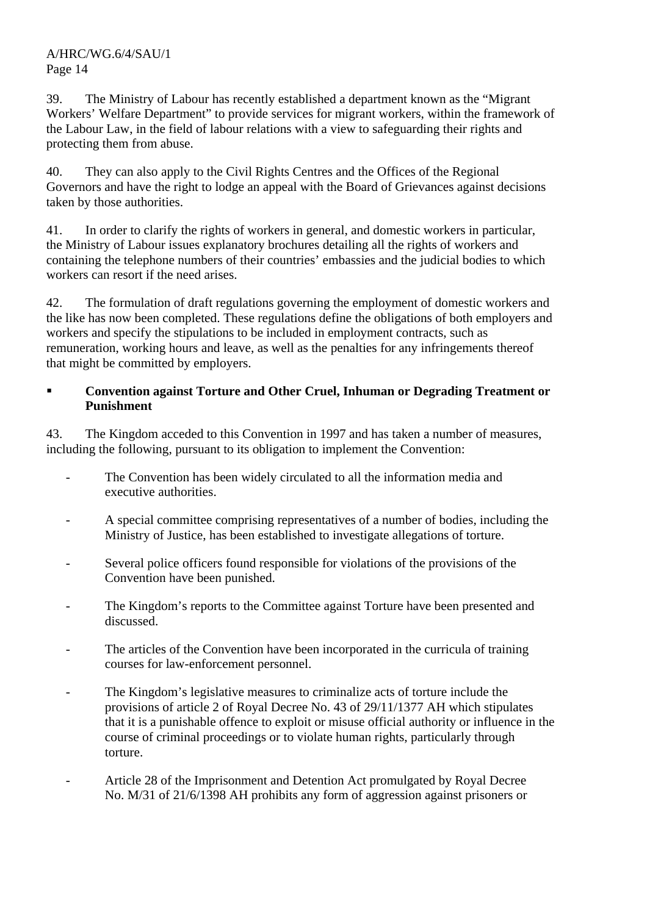39. The Ministry of Labour has recently established a department known as the "Migrant Workers' Welfare Department" to provide services for migrant workers, within the framework of the Labour Law, in the field of labour relations with a view to safeguarding their rights and protecting them from abuse.

40. They can also apply to the Civil Rights Centres and the Offices of the Regional Governors and have the right to lodge an appeal with the Board of Grievances against decisions taken by those authorities.

41. In order to clarify the rights of workers in general, and domestic workers in particular, the Ministry of Labour issues explanatory brochures detailing all the rights of workers and containing the telephone numbers of their countries' embassies and the judicial bodies to which workers can resort if the need arises.

42. The formulation of draft regulations governing the employment of domestic workers and the like has now been completed. These regulations define the obligations of both employers and workers and specify the stipulations to be included in employment contracts, such as remuneration, working hours and leave, as well as the penalties for any infringements thereof that might be committed by employers.

# **Convention against Torture and Other Cruel, Inhuman or Degrading Treatment or Punishment**

43. The Kingdom acceded to this Convention in 1997 and has taken a number of measures, including the following, pursuant to its obligation to implement the Convention:

- The Convention has been widely circulated to all the information media and executive authorities.
- A special committee comprising representatives of a number of bodies, including the Ministry of Justice, has been established to investigate allegations of torture.
- Several police officers found responsible for violations of the provisions of the Convention have been punished.
- The Kingdom's reports to the Committee against Torture have been presented and discussed.
- The articles of the Convention have been incorporated in the curricula of training courses for law-enforcement personnel.
- The Kingdom's legislative measures to criminalize acts of torture include the provisions of article 2 of Royal Decree No. 43 of 29/11/1377 AH which stipulates that it is a punishable offence to exploit or misuse official authority or influence in the course of criminal proceedings or to violate human rights, particularly through torture.
- Article 28 of the Imprisonment and Detention Act promulgated by Royal Decree No. M/31 of 21/6/1398 AH prohibits any form of aggression against prisoners or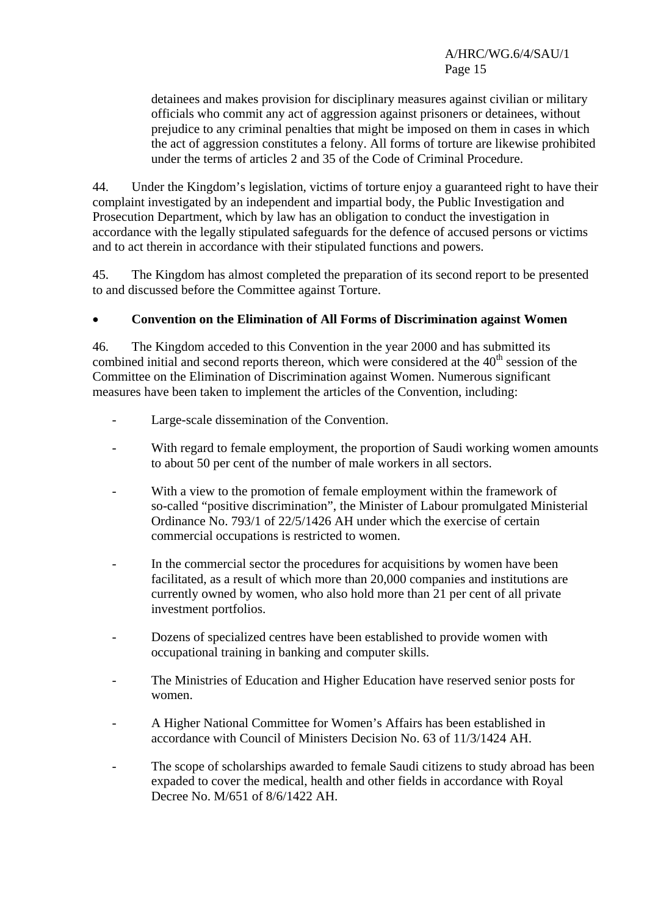detainees and makes provision for disciplinary measures against civilian or military officials who commit any act of aggression against prisoners or detainees, without prejudice to any criminal penalties that might be imposed on them in cases in which the act of aggression constitutes a felony. All forms of torture are likewise prohibited under the terms of articles 2 and 35 of the Code of Criminal Procedure.

44. Under the Kingdom's legislation, victims of torture enjoy a guaranteed right to have their complaint investigated by an independent and impartial body, the Public Investigation and Prosecution Department, which by law has an obligation to conduct the investigation in accordance with the legally stipulated safeguards for the defence of accused persons or victims and to act therein in accordance with their stipulated functions and powers.

45. The Kingdom has almost completed the preparation of its second report to be presented to and discussed before the Committee against Torture.

# • **Convention on the Elimination of All Forms of Discrimination against Women**

46. The Kingdom acceded to this Convention in the year 2000 and has submitted its combined initial and second reports thereon, which were considered at the  $40<sup>th</sup>$  session of the Committee on the Elimination of Discrimination against Women. Numerous significant measures have been taken to implement the articles of the Convention, including:

- Large-scale dissemination of the Convention.
- With regard to female employment, the proportion of Saudi working women amounts to about 50 per cent of the number of male workers in all sectors.
- With a view to the promotion of female employment within the framework of so-called "positive discrimination", the Minister of Labour promulgated Ministerial Ordinance No. 793/1 of 22/5/1426 AH under which the exercise of certain commercial occupations is restricted to women.
- In the commercial sector the procedures for acquisitions by women have been facilitated, as a result of which more than 20,000 companies and institutions are currently owned by women, who also hold more than 21 per cent of all private investment portfolios.
- Dozens of specialized centres have been established to provide women with occupational training in banking and computer skills.
- The Ministries of Education and Higher Education have reserved senior posts for women.
- A Higher National Committee for Women's Affairs has been established in accordance with Council of Ministers Decision No. 63 of 11/3/1424 AH.
- The scope of scholarships awarded to female Saudi citizens to study abroad has been expaded to cover the medical, health and other fields in accordance with Royal Decree No. M/651 of 8/6/1422 AH.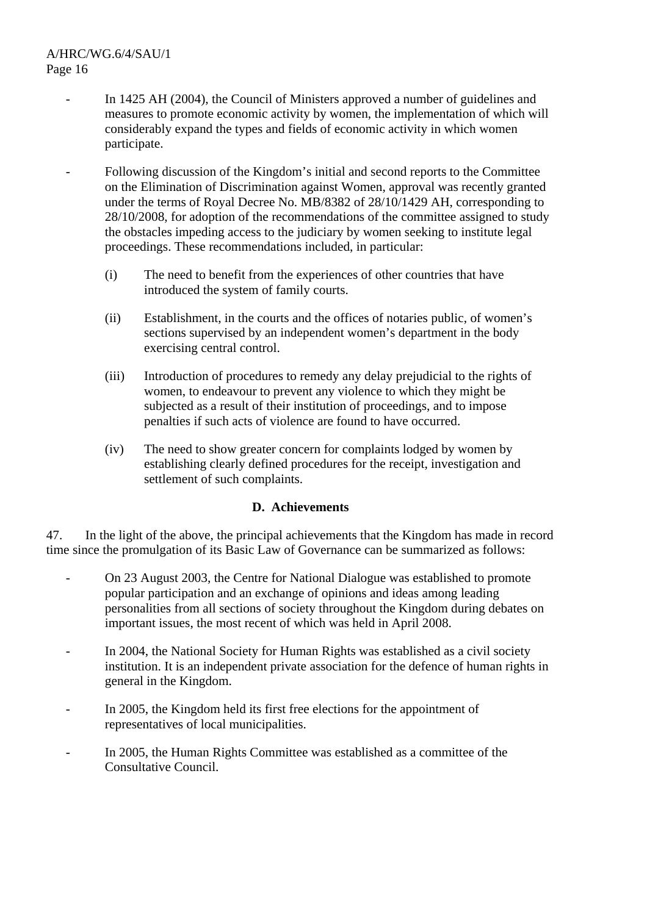- In 1425 AH (2004), the Council of Ministers approved a number of guidelines and measures to promote economic activity by women, the implementation of which will considerably expand the types and fields of economic activity in which women participate.
- Following discussion of the Kingdom's initial and second reports to the Committee on the Elimination of Discrimination against Women, approval was recently granted under the terms of Royal Decree No. MB/8382 of 28/10/1429 AH, corresponding to 28/10/2008, for adoption of the recommendations of the committee assigned to study the obstacles impeding access to the judiciary by women seeking to institute legal proceedings. These recommendations included, in particular:
	- (i) The need to benefit from the experiences of other countries that have introduced the system of family courts.
	- (ii) Establishment, in the courts and the offices of notaries public, of women's sections supervised by an independent women's department in the body exercising central control.
	- (iii) Introduction of procedures to remedy any delay prejudicial to the rights of women, to endeavour to prevent any violence to which they might be subjected as a result of their institution of proceedings, and to impose penalties if such acts of violence are found to have occurred.
	- (iv) The need to show greater concern for complaints lodged by women by establishing clearly defined procedures for the receipt, investigation and settlement of such complaints.

### **D. Achievements**

47. In the light of the above, the principal achievements that the Kingdom has made in record time since the promulgation of its Basic Law of Governance can be summarized as follows:

- On 23 August 2003, the Centre for National Dialogue was established to promote popular participation and an exchange of opinions and ideas among leading personalities from all sections of society throughout the Kingdom during debates on important issues, the most recent of which was held in April 2008.
- In 2004, the National Society for Human Rights was established as a civil society institution. It is an independent private association for the defence of human rights in general in the Kingdom.
- In 2005, the Kingdom held its first free elections for the appointment of representatives of local municipalities.
- In 2005, the Human Rights Committee was established as a committee of the Consultative Council.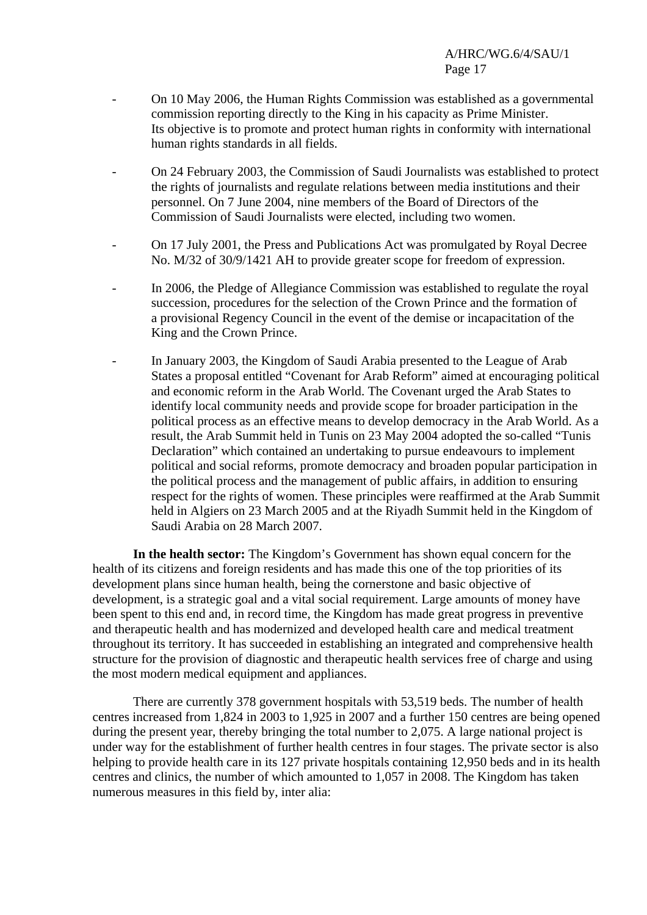- On 10 May 2006, the Human Rights Commission was established as a governmental commission reporting directly to the King in his capacity as Prime Minister. Its objective is to promote and protect human rights in conformity with international human rights standards in all fields.
- On 24 February 2003, the Commission of Saudi Journalists was established to protect the rights of journalists and regulate relations between media institutions and their personnel. On 7 June 2004, nine members of the Board of Directors of the Commission of Saudi Journalists were elected, including two women.
- On 17 July 2001, the Press and Publications Act was promulgated by Royal Decree No. M/32 of 30/9/1421 AH to provide greater scope for freedom of expression.
- In 2006, the Pledge of Allegiance Commission was established to regulate the royal succession, procedures for the selection of the Crown Prince and the formation of a provisional Regency Council in the event of the demise or incapacitation of the King and the Crown Prince.
- In January 2003, the Kingdom of Saudi Arabia presented to the League of Arab States a proposal entitled "Covenant for Arab Reform" aimed at encouraging political and economic reform in the Arab World. The Covenant urged the Arab States to identify local community needs and provide scope for broader participation in the political process as an effective means to develop democracy in the Arab World. As a result, the Arab Summit held in Tunis on 23 May 2004 adopted the so-called "Tunis Declaration" which contained an undertaking to pursue endeavours to implement political and social reforms, promote democracy and broaden popular participation in the political process and the management of public affairs, in addition to ensuring respect for the rights of women. These principles were reaffirmed at the Arab Summit held in Algiers on 23 March 2005 and at the Riyadh Summit held in the Kingdom of Saudi Arabia on 28 March 2007.

**In the health sector:** The Kingdom's Government has shown equal concern for the health of its citizens and foreign residents and has made this one of the top priorities of its development plans since human health, being the cornerstone and basic objective of development, is a strategic goal and a vital social requirement. Large amounts of money have been spent to this end and, in record time, the Kingdom has made great progress in preventive and therapeutic health and has modernized and developed health care and medical treatment throughout its territory. It has succeeded in establishing an integrated and comprehensive health structure for the provision of diagnostic and therapeutic health services free of charge and using the most modern medical equipment and appliances.

There are currently 378 government hospitals with 53,519 beds. The number of health centres increased from 1,824 in 2003 to 1,925 in 2007 and a further 150 centres are being opened during the present year, thereby bringing the total number to 2,075. A large national project is under way for the establishment of further health centres in four stages. The private sector is also helping to provide health care in its 127 private hospitals containing 12,950 beds and in its health centres and clinics, the number of which amounted to 1,057 in 2008. The Kingdom has taken numerous measures in this field by, inter alia: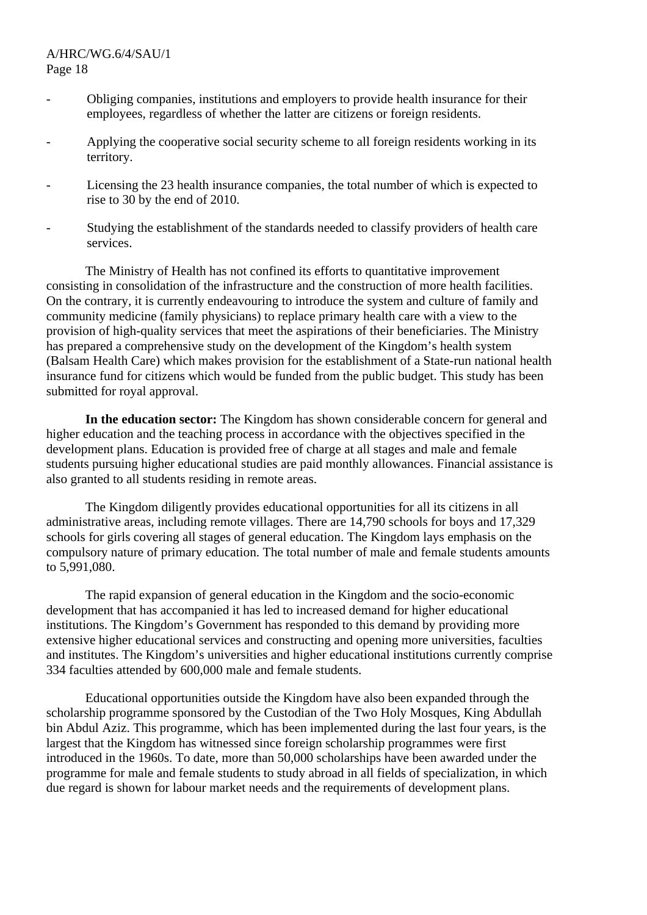- Obliging companies, institutions and employers to provide health insurance for their employees, regardless of whether the latter are citizens or foreign residents.
- Applying the cooperative social security scheme to all foreign residents working in its territory.
- Licensing the 23 health insurance companies, the total number of which is expected to rise to 30 by the end of 2010.
- Studying the establishment of the standards needed to classify providers of health care services.

 The Ministry of Health has not confined its efforts to quantitative improvement consisting in consolidation of the infrastructure and the construction of more health facilities. On the contrary, it is currently endeavouring to introduce the system and culture of family and community medicine (family physicians) to replace primary health care with a view to the provision of high-quality services that meet the aspirations of their beneficiaries. The Ministry has prepared a comprehensive study on the development of the Kingdom's health system (Balsam Health Care) which makes provision for the establishment of a State-run national health insurance fund for citizens which would be funded from the public budget. This study has been submitted for royal approval.

 **In the education sector:** The Kingdom has shown considerable concern for general and higher education and the teaching process in accordance with the objectives specified in the development plans. Education is provided free of charge at all stages and male and female students pursuing higher educational studies are paid monthly allowances. Financial assistance is also granted to all students residing in remote areas.

 The Kingdom diligently provides educational opportunities for all its citizens in all administrative areas, including remote villages. There are 14,790 schools for boys and 17,329 schools for girls covering all stages of general education. The Kingdom lays emphasis on the compulsory nature of primary education. The total number of male and female students amounts to 5,991,080.

 The rapid expansion of general education in the Kingdom and the socio-economic development that has accompanied it has led to increased demand for higher educational institutions. The Kingdom's Government has responded to this demand by providing more extensive higher educational services and constructing and opening more universities, faculties and institutes. The Kingdom's universities and higher educational institutions currently comprise 334 faculties attended by 600,000 male and female students.

 Educational opportunities outside the Kingdom have also been expanded through the scholarship programme sponsored by the Custodian of the Two Holy Mosques, King Abdullah bin Abdul Aziz. This programme, which has been implemented during the last four years, is the largest that the Kingdom has witnessed since foreign scholarship programmes were first introduced in the 1960s. To date, more than 50,000 scholarships have been awarded under the programme for male and female students to study abroad in all fields of specialization, in which due regard is shown for labour market needs and the requirements of development plans.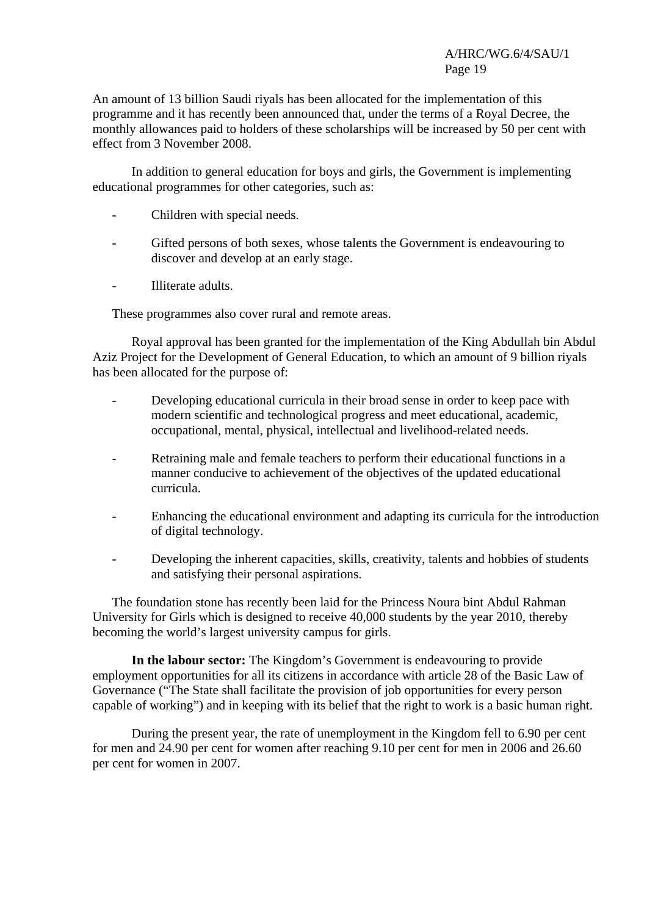An amount of 13 billion Saudi riyals has been allocated for the implementation of this programme and it has recently been announced that, under the terms of a Royal Decree, the monthly allowances paid to holders of these scholarships will be increased by 50 per cent with effect from 3 November 2008.

 In addition to general education for boys and girls, the Government is implementing educational programmes for other categories, such as:

- Children with special needs.
- Gifted persons of both sexes, whose talents the Government is endeavouring to discover and develop at an early stage.
- Illiterate adults.

These programmes also cover rural and remote areas.

 Royal approval has been granted for the implementation of the King Abdullah bin Abdul Aziz Project for the Development of General Education, to which an amount of 9 billion riyals has been allocated for the purpose of:

- Developing educational curricula in their broad sense in order to keep pace with modern scientific and technological progress and meet educational, academic, occupational, mental, physical, intellectual and livelihood-related needs.
- Retraining male and female teachers to perform their educational functions in a manner conducive to achievement of the objectives of the updated educational curricula.
- Enhancing the educational environment and adapting its curricula for the introduction of digital technology.
- Developing the inherent capacities, skills, creativity, talents and hobbies of students and satisfying their personal aspirations.

The foundation stone has recently been laid for the Princess Noura bint Abdul Rahman University for Girls which is designed to receive 40,000 students by the year 2010, thereby becoming the world's largest university campus for girls.

**In the labour sector:** The Kingdom's Government is endeavouring to provide employment opportunities for all its citizens in accordance with article 28 of the Basic Law of Governance ("The State shall facilitate the provision of job opportunities for every person capable of working") and in keeping with its belief that the right to work is a basic human right.

 During the present year, the rate of unemployment in the Kingdom fell to 6.90 per cent for men and 24.90 per cent for women after reaching 9.10 per cent for men in 2006 and 26.60 per cent for women in 2007.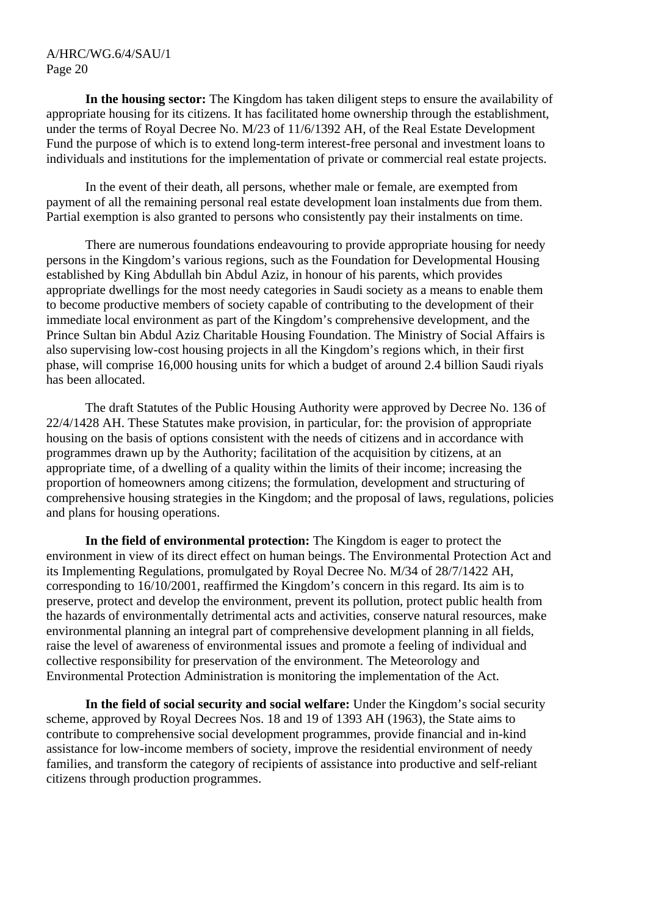**In the housing sector:** The Kingdom has taken diligent steps to ensure the availability of appropriate housing for its citizens. It has facilitated home ownership through the establishment, under the terms of Royal Decree No. M/23 of 11/6/1392 AH, of the Real Estate Development Fund the purpose of which is to extend long-term interest-free personal and investment loans to individuals and institutions for the implementation of private or commercial real estate projects.

 In the event of their death, all persons, whether male or female, are exempted from payment of all the remaining personal real estate development loan instalments due from them. Partial exemption is also granted to persons who consistently pay their instalments on time.

 There are numerous foundations endeavouring to provide appropriate housing for needy persons in the Kingdom's various regions, such as the Foundation for Developmental Housing established by King Abdullah bin Abdul Aziz, in honour of his parents, which provides appropriate dwellings for the most needy categories in Saudi society as a means to enable them to become productive members of society capable of contributing to the development of their immediate local environment as part of the Kingdom's comprehensive development, and the Prince Sultan bin Abdul Aziz Charitable Housing Foundation. The Ministry of Social Affairs is also supervising low-cost housing projects in all the Kingdom's regions which, in their first phase, will comprise 16,000 housing units for which a budget of around 2.4 billion Saudi riyals has been allocated.

 The draft Statutes of the Public Housing Authority were approved by Decree No. 136 of 22/4/1428 AH. These Statutes make provision, in particular, for: the provision of appropriate housing on the basis of options consistent with the needs of citizens and in accordance with programmes drawn up by the Authority; facilitation of the acquisition by citizens, at an appropriate time, of a dwelling of a quality within the limits of their income; increasing the proportion of homeowners among citizens; the formulation, development and structuring of comprehensive housing strategies in the Kingdom; and the proposal of laws, regulations, policies and plans for housing operations.

**In the field of environmental protection:** The Kingdom is eager to protect the environment in view of its direct effect on human beings. The Environmental Protection Act and its Implementing Regulations, promulgated by Royal Decree No. M/34 of 28/7/1422 AH, corresponding to 16/10/2001, reaffirmed the Kingdom's concern in this regard. Its aim is to preserve, protect and develop the environment, prevent its pollution, protect public health from the hazards of environmentally detrimental acts and activities, conserve natural resources, make environmental planning an integral part of comprehensive development planning in all fields, raise the level of awareness of environmental issues and promote a feeling of individual and collective responsibility for preservation of the environment. The Meteorology and Environmental Protection Administration is monitoring the implementation of the Act.

**In the field of social security and social welfare:** Under the Kingdom's social security scheme, approved by Royal Decrees Nos. 18 and 19 of 1393 AH (1963), the State aims to contribute to comprehensive social development programmes, provide financial and in-kind assistance for low-income members of society, improve the residential environment of needy families, and transform the category of recipients of assistance into productive and self-reliant citizens through production programmes.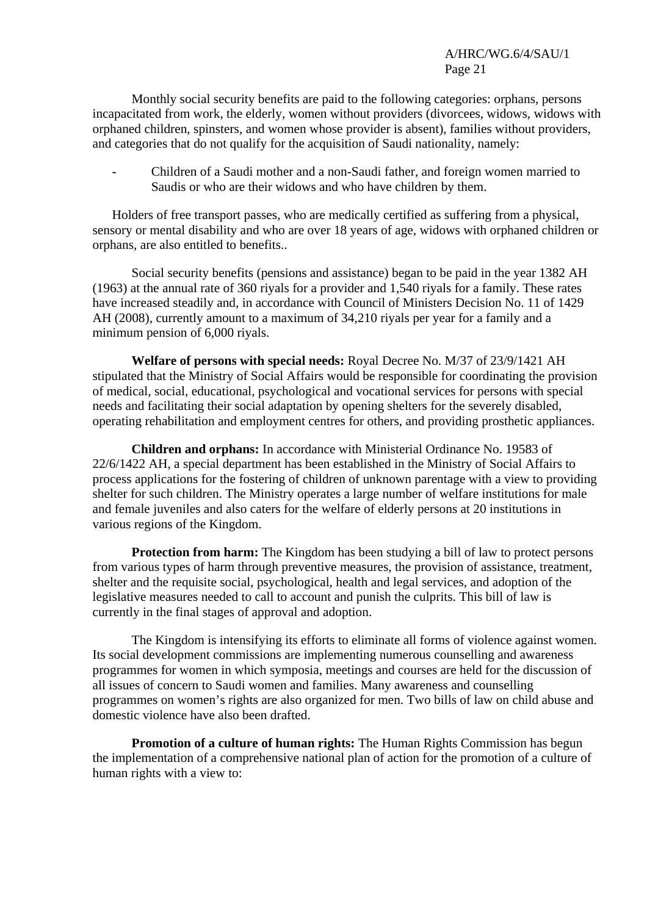Monthly social security benefits are paid to the following categories: orphans, persons incapacitated from work, the elderly, women without providers (divorcees, widows, widows with orphaned children, spinsters, and women whose provider is absent), families without providers, and categories that do not qualify for the acquisition of Saudi nationality, namely:

- Children of a Saudi mother and a non-Saudi father, and foreign women married to Saudis or who are their widows and who have children by them.

Holders of free transport passes, who are medically certified as suffering from a physical, sensory or mental disability and who are over 18 years of age, widows with orphaned children or orphans, are also entitled to benefits..

Social security benefits (pensions and assistance) began to be paid in the year 1382 AH (1963) at the annual rate of 360 riyals for a provider and 1,540 riyals for a family. These rates have increased steadily and, in accordance with Council of Ministers Decision No. 11 of 1429 AH (2008), currently amount to a maximum of 34,210 riyals per year for a family and a minimum pension of 6,000 riyals.

**Welfare of persons with special needs:** Royal Decree No. M/37 of 23/9/1421 AH stipulated that the Ministry of Social Affairs would be responsible for coordinating the provision of medical, social, educational, psychological and vocational services for persons with special needs and facilitating their social adaptation by opening shelters for the severely disabled, operating rehabilitation and employment centres for others, and providing prosthetic appliances.

**Children and orphans:** In accordance with Ministerial Ordinance No. 19583 of 22/6/1422 AH, a special department has been established in the Ministry of Social Affairs to process applications for the fostering of children of unknown parentage with a view to providing shelter for such children. The Ministry operates a large number of welfare institutions for male and female juveniles and also caters for the welfare of elderly persons at 20 institutions in various regions of the Kingdom.

**Protection from harm:** The Kingdom has been studying a bill of law to protect persons from various types of harm through preventive measures, the provision of assistance, treatment, shelter and the requisite social, psychological, health and legal services, and adoption of the legislative measures needed to call to account and punish the culprits. This bill of law is currently in the final stages of approval and adoption.

 The Kingdom is intensifying its efforts to eliminate all forms of violence against women. Its social development commissions are implementing numerous counselling and awareness programmes for women in which symposia, meetings and courses are held for the discussion of all issues of concern to Saudi women and families. Many awareness and counselling programmes on women's rights are also organized for men. Two bills of law on child abuse and domestic violence have also been drafted.

**Promotion of a culture of human rights:** The Human Rights Commission has begun the implementation of a comprehensive national plan of action for the promotion of a culture of human rights with a view to: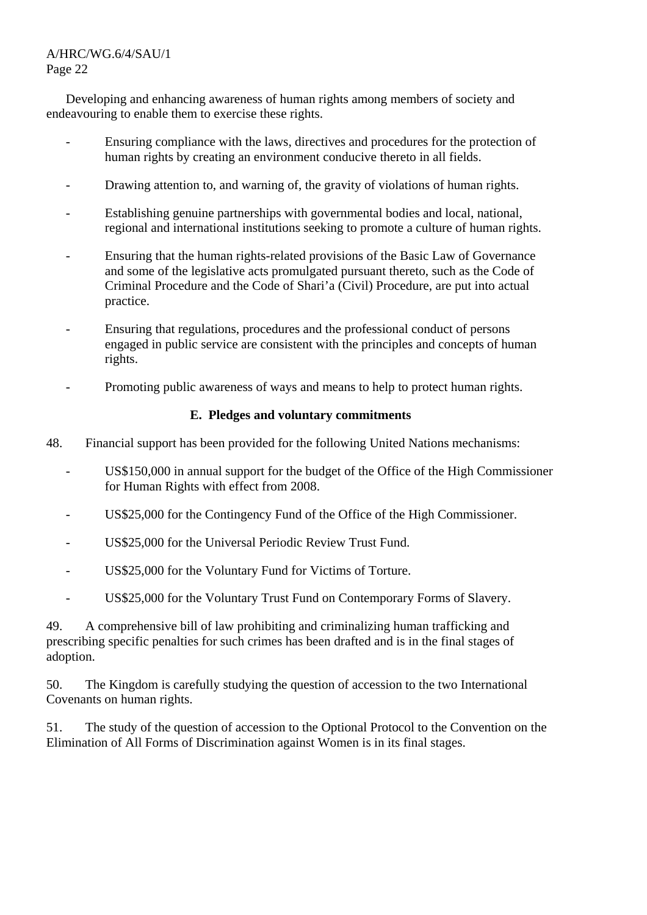Developing and enhancing awareness of human rights among members of society and endeavouring to enable them to exercise these rights.

- Ensuring compliance with the laws, directives and procedures for the protection of human rights by creating an environment conducive thereto in all fields.
- Drawing attention to, and warning of, the gravity of violations of human rights.
- Establishing genuine partnerships with governmental bodies and local, national, regional and international institutions seeking to promote a culture of human rights.
- Ensuring that the human rights-related provisions of the Basic Law of Governance and some of the legislative acts promulgated pursuant thereto, such as the Code of Criminal Procedure and the Code of Shari'a (Civil) Procedure, are put into actual practice.
- Ensuring that regulations, procedures and the professional conduct of persons engaged in public service are consistent with the principles and concepts of human rights.
- Promoting public awareness of ways and means to help to protect human rights.

#### **E. Pledges and voluntary commitments**

- 48. Financial support has been provided for the following United Nations mechanisms:
	- US\$150,000 in annual support for the budget of the Office of the High Commissioner for Human Rights with effect from 2008.
	- US\$25,000 for the Contingency Fund of the Office of the High Commissioner.
	- US\$25,000 for the Universal Periodic Review Trust Fund.
	- US\$25,000 for the Voluntary Fund for Victims of Torture.
	- US\$25,000 for the Voluntary Trust Fund on Contemporary Forms of Slavery.

49. A comprehensive bill of law prohibiting and criminalizing human trafficking and prescribing specific penalties for such crimes has been drafted and is in the final stages of adoption.

50. The Kingdom is carefully studying the question of accession to the two International Covenants on human rights.

51. The study of the question of accession to the Optional Protocol to the Convention on the Elimination of All Forms of Discrimination against Women is in its final stages.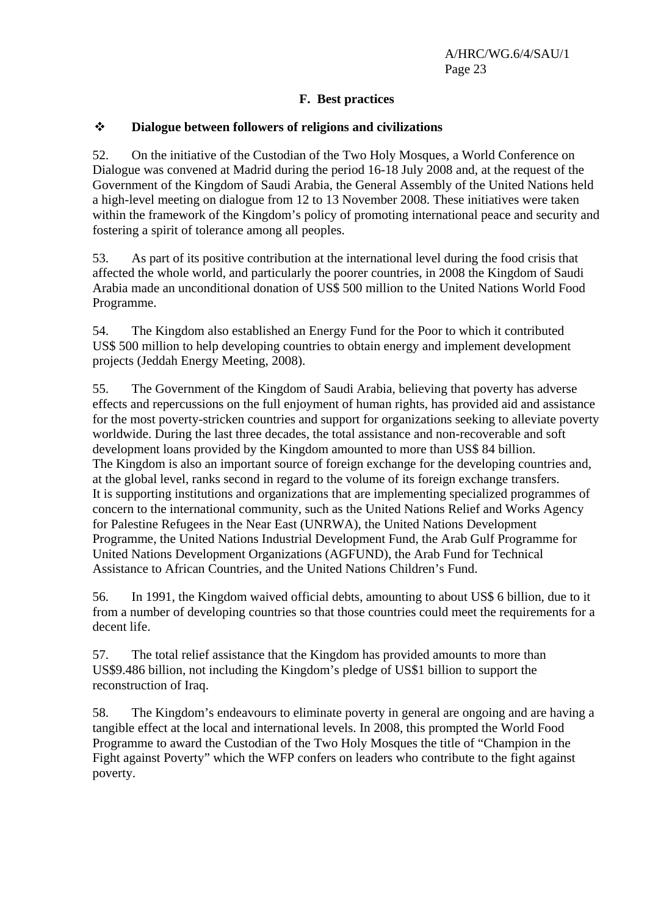### **F. Best practices**

### **Dialogue between followers of religions and civilizations**

52. On the initiative of the Custodian of the Two Holy Mosques, a World Conference on Dialogue was convened at Madrid during the period 16-18 July 2008 and, at the request of the Government of the Kingdom of Saudi Arabia, the General Assembly of the United Nations held a high-level meeting on dialogue from 12 to 13 November 2008. These initiatives were taken within the framework of the Kingdom's policy of promoting international peace and security and fostering a spirit of tolerance among all peoples.

53. As part of its positive contribution at the international level during the food crisis that affected the whole world, and particularly the poorer countries, in 2008 the Kingdom of Saudi Arabia made an unconditional donation of US\$ 500 million to the United Nations World Food Programme.

54. The Kingdom also established an Energy Fund for the Poor to which it contributed US\$ 500 million to help developing countries to obtain energy and implement development projects (Jeddah Energy Meeting, 2008).

55. The Government of the Kingdom of Saudi Arabia, believing that poverty has adverse effects and repercussions on the full enjoyment of human rights, has provided aid and assistance for the most poverty-stricken countries and support for organizations seeking to alleviate poverty worldwide. During the last three decades, the total assistance and non-recoverable and soft development loans provided by the Kingdom amounted to more than US\$ 84 billion. The Kingdom is also an important source of foreign exchange for the developing countries and, at the global level, ranks second in regard to the volume of its foreign exchange transfers. It is supporting institutions and organizations that are implementing specialized programmes of concern to the international community, such as the United Nations Relief and Works Agency for Palestine Refugees in the Near East (UNRWA), the United Nations Development Programme, the United Nations Industrial Development Fund, the Arab Gulf Programme for United Nations Development Organizations (AGFUND), the Arab Fund for Technical Assistance to African Countries, and the United Nations Children's Fund.

56. In 1991, the Kingdom waived official debts, amounting to about US\$ 6 billion, due to it from a number of developing countries so that those countries could meet the requirements for a decent life.

57. The total relief assistance that the Kingdom has provided amounts to more than US\$9.486 billion, not including the Kingdom's pledge of US\$1 billion to support the reconstruction of Iraq.

58. The Kingdom's endeavours to eliminate poverty in general are ongoing and are having a tangible effect at the local and international levels. In 2008, this prompted the World Food Programme to award the Custodian of the Two Holy Mosques the title of "Champion in the Fight against Poverty" which the WFP confers on leaders who contribute to the fight against poverty.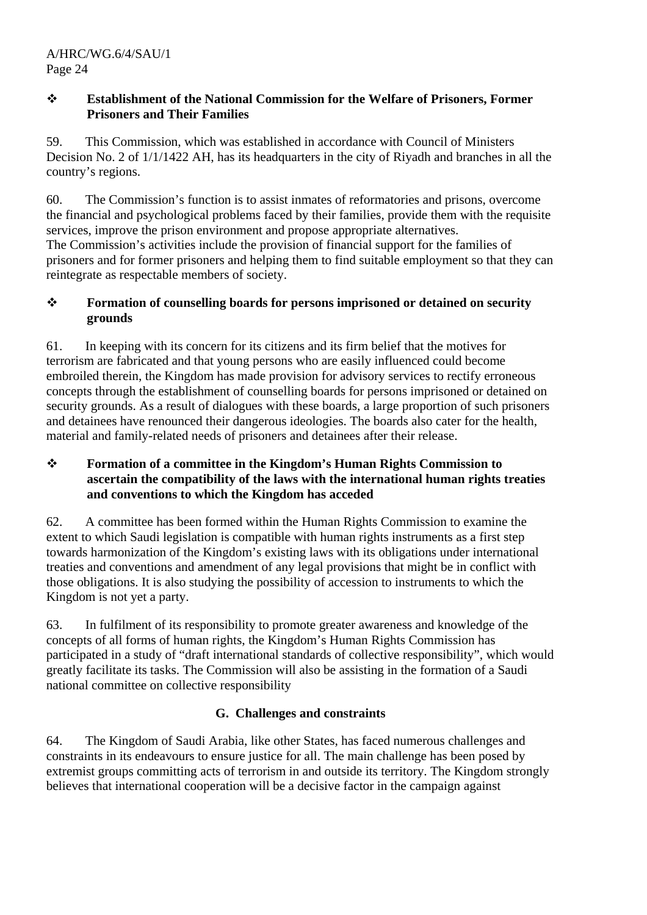#### **Establishment of the National Commission for the Welfare of Prisoners, Former Prisoners and Their Families**

59. This Commission, which was established in accordance with Council of Ministers Decision No. 2 of 1/1/1422 AH, has its headquarters in the city of Riyadh and branches in all the country's regions.

60. The Commission's function is to assist inmates of reformatories and prisons, overcome the financial and psychological problems faced by their families, provide them with the requisite services, improve the prison environment and propose appropriate alternatives. The Commission's activities include the provision of financial support for the families of prisoners and for former prisoners and helping them to find suitable employment so that they can reintegrate as respectable members of society.

# **Formation of counselling boards for persons imprisoned or detained on security grounds**

61. In keeping with its concern for its citizens and its firm belief that the motives for terrorism are fabricated and that young persons who are easily influenced could become embroiled therein, the Kingdom has made provision for advisory services to rectify erroneous concepts through the establishment of counselling boards for persons imprisoned or detained on security grounds. As a result of dialogues with these boards, a large proportion of such prisoners and detainees have renounced their dangerous ideologies. The boards also cater for the health, material and family-related needs of prisoners and detainees after their release.

# **Formation of a committee in the Kingdom's Human Rights Commission to ascertain the compatibility of the laws with the international human rights treaties and conventions to which the Kingdom has acceded**

62. A committee has been formed within the Human Rights Commission to examine the extent to which Saudi legislation is compatible with human rights instruments as a first step towards harmonization of the Kingdom's existing laws with its obligations under international treaties and conventions and amendment of any legal provisions that might be in conflict with those obligations. It is also studying the possibility of accession to instruments to which the Kingdom is not yet a party.

63. In fulfilment of its responsibility to promote greater awareness and knowledge of the concepts of all forms of human rights, the Kingdom's Human Rights Commission has participated in a study of "draft international standards of collective responsibility", which would greatly facilitate its tasks. The Commission will also be assisting in the formation of a Saudi national committee on collective responsibility

# **G. Challenges and constraints**

64. The Kingdom of Saudi Arabia, like other States, has faced numerous challenges and constraints in its endeavours to ensure justice for all. The main challenge has been posed by extremist groups committing acts of terrorism in and outside its territory. The Kingdom strongly believes that international cooperation will be a decisive factor in the campaign against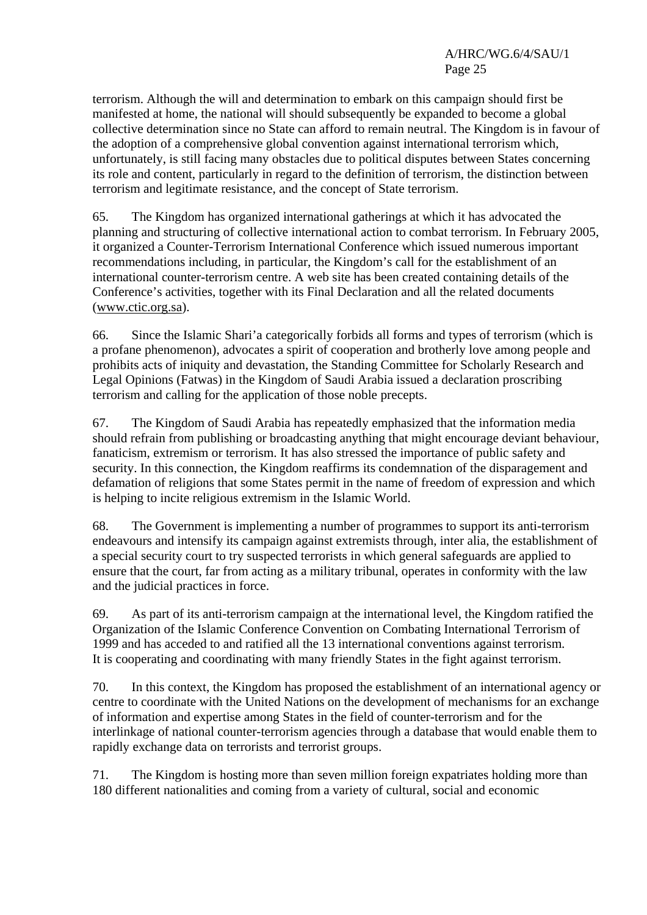terrorism. Although the will and determination to embark on this campaign should first be manifested at home, the national will should subsequently be expanded to become a global collective determination since no State can afford to remain neutral. The Kingdom is in favour of the adoption of a comprehensive global convention against international terrorism which, unfortunately, is still facing many obstacles due to political disputes between States concerning its role and content, particularly in regard to the definition of terrorism, the distinction between terrorism and legitimate resistance, and the concept of State terrorism.

65. The Kingdom has organized international gatherings at which it has advocated the planning and structuring of collective international action to combat terrorism. In February 2005, it organized a Counter-Terrorism International Conference which issued numerous important recommendations including, in particular, the Kingdom's call for the establishment of an international counter-terrorism centre. A web site has been created containing details of the Conference's activities, together with its Final Declaration and all the related documents (www.ctic.org.sa).

66. Since the Islamic Shari'a categorically forbids all forms and types of terrorism (which is a profane phenomenon), advocates a spirit of cooperation and brotherly love among people and prohibits acts of iniquity and devastation, the Standing Committee for Scholarly Research and Legal Opinions (Fatwas) in the Kingdom of Saudi Arabia issued a declaration proscribing terrorism and calling for the application of those noble precepts.

67. The Kingdom of Saudi Arabia has repeatedly emphasized that the information media should refrain from publishing or broadcasting anything that might encourage deviant behaviour, fanaticism, extremism or terrorism. It has also stressed the importance of public safety and security. In this connection, the Kingdom reaffirms its condemnation of the disparagement and defamation of religions that some States permit in the name of freedom of expression and which is helping to incite religious extremism in the Islamic World.

68. The Government is implementing a number of programmes to support its anti-terrorism endeavours and intensify its campaign against extremists through, inter alia, the establishment of a special security court to try suspected terrorists in which general safeguards are applied to ensure that the court, far from acting as a military tribunal, operates in conformity with the law and the judicial practices in force.

69. As part of its anti-terrorism campaign at the international level, the Kingdom ratified the Organization of the Islamic Conference Convention on Combating International Terrorism of 1999 and has acceded to and ratified all the 13 international conventions against terrorism. It is cooperating and coordinating with many friendly States in the fight against terrorism.

70. In this context, the Kingdom has proposed the establishment of an international agency or centre to coordinate with the United Nations on the development of mechanisms for an exchange of information and expertise among States in the field of counter-terrorism and for the interlinkage of national counter-terrorism agencies through a database that would enable them to rapidly exchange data on terrorists and terrorist groups.

71. The Kingdom is hosting more than seven million foreign expatriates holding more than 180 different nationalities and coming from a variety of cultural, social and economic